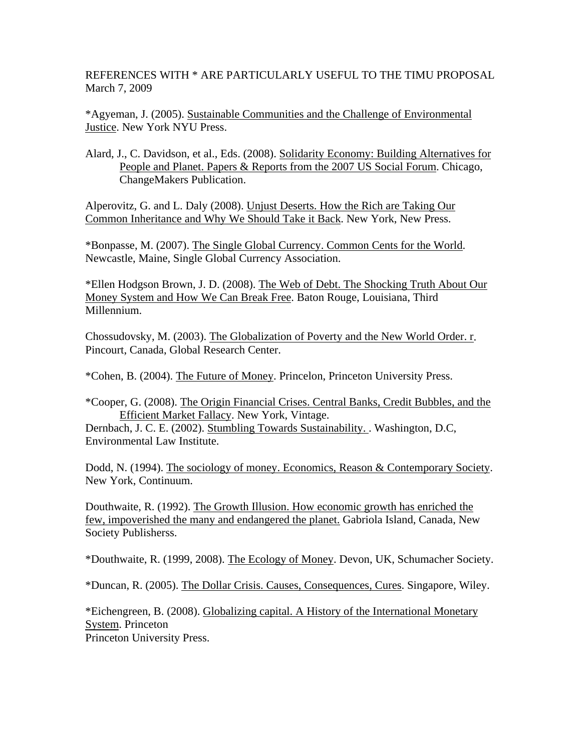REFERENCES WITH \* ARE PARTICULARLY USEFUL TO THE TIMU PROPOSAL March 7, 2009

\*Agyeman, J. (2005). Sustainable Communities and the Challenge of Environmental Justice. New York NYU Press.

Alard, J., C. Davidson, et al., Eds. (2008). Solidarity Economy: Building Alternatives for People and Planet. Papers & Reports from the 2007 US Social Forum. Chicago, ChangeMakers Publication.

Alperovitz, G. and L. Daly (2008). Unjust Deserts. How the Rich are Taking Our Common Inheritance and Why We Should Take it Back. New York, New Press.

\*Bonpasse, M. (2007). The Single Global Currency. Common Cents for the World. Newcastle, Maine, Single Global Currency Association.

\*Ellen Hodgson Brown, J. D. (2008). The Web of Debt. The Shocking Truth About Our Money System and How We Can Break Free. Baton Rouge, Louisiana, Third Millennium.

Chossudovsky, M. (2003). The Globalization of Poverty and the New World Order. r. Pincourt, Canada, Global Research Center.

\*Cohen, B. (2004). The Future of Money. Princelon, Princeton University Press.

Dernbach, J. C. E. (2002). Stumbling Towards Sustainability. . Washington, D.C, Environmental Law Institute.

Dodd, N. (1994). The sociology of money. Economics, Reason & Contemporary Society. New York, Continuum.

Douthwaite, R. (1992). The Growth Illusion. How economic growth has enriched the few, impoverished the many and endangered the planet. Gabriola Island, Canada, New Society Publisherss.

\*Douthwaite, R. (1999, 2008). The Ecology of Money. Devon, UK, Schumacher Society.

\*Duncan, R. (2005). The Dollar Crisis. Causes, Consequences, Cures. Singapore, Wiley.

\*Eichengreen, B. (2008). Globalizing capital. A History of the International Monetary System. Princeton Princeton University Press.

<sup>\*</sup>Cooper, G. (2008). The Origin Financial Crises. Central Banks, Credit Bubbles, and the Efficient Market Fallacy. New York, Vintage.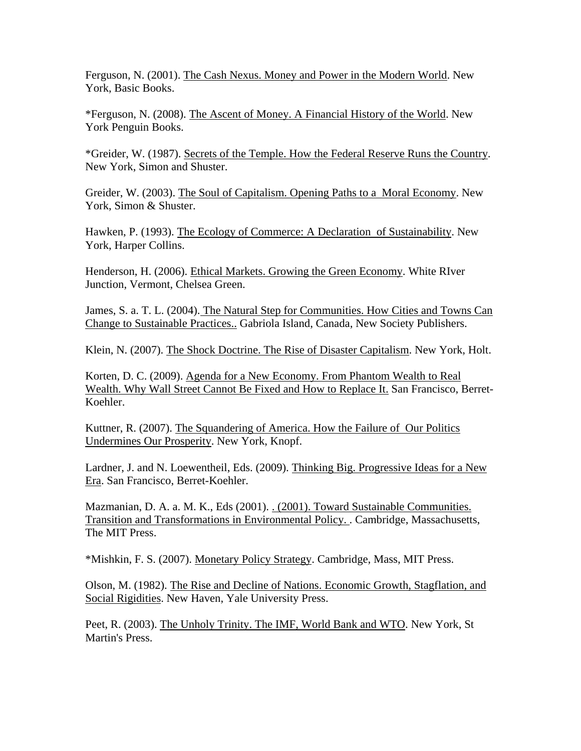Ferguson, N. (2001). The Cash Nexus. Money and Power in the Modern World. New York, Basic Books.

\*Ferguson, N. (2008). The Ascent of Money. A Financial History of the World. New York Penguin Books.

\*Greider, W. (1987). Secrets of the Temple. How the Federal Reserve Runs the Country. New York, Simon and Shuster.

Greider, W. (2003). The Soul of Capitalism. Opening Paths to a Moral Economy. New York, Simon & Shuster.

Hawken, P. (1993). The Ecology of Commerce: A Declaration of Sustainability. New York, Harper Collins.

Henderson, H. (2006). Ethical Markets. Growing the Green Economy. White RIver Junction, Vermont, Chelsea Green.

James, S. a. T. L. (2004). The Natural Step for Communities. How Cities and Towns Can Change to Sustainable Practices.. Gabriola Island, Canada, New Society Publishers.

Klein, N. (2007). The Shock Doctrine. The Rise of Disaster Capitalism. New York, Holt.

Korten, D. C. (2009). Agenda for a New Economy. From Phantom Wealth to Real Wealth. Why Wall Street Cannot Be Fixed and How to Replace It. San Francisco, Berret-Koehler.

Kuttner, R. (2007). The Squandering of America. How the Failure of Our Politics Undermines Our Prosperity. New York, Knopf.

Lardner, J. and N. Loewentheil, Eds. (2009). Thinking Big. Progressive Ideas for a New Era. San Francisco, Berret-Koehler.

Mazmanian, D. A. a. M. K., Eds (2001). . (2001). Toward Sustainable Communities. Transition and Transformations in Environmental Policy. . Cambridge, Massachusetts, The MIT Press.

\*Mishkin, F. S. (2007). Monetary Policy Strategy. Cambridge, Mass, MIT Press.

Olson, M. (1982). The Rise and Decline of Nations. Economic Growth, Stagflation, and Social Rigidities. New Haven, Yale University Press.

Peet, R. (2003). The Unholy Trinity. The IMF, World Bank and WTO. New York, St Martin's Press.